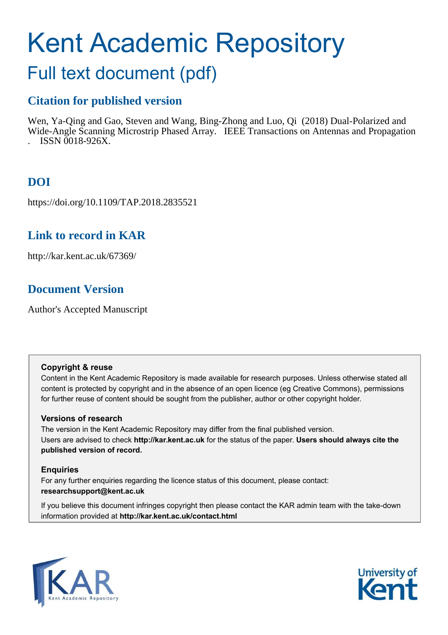# Kent Academic Repository

## Full text document (pdf)

## **Citation for published version**

Wen, Ya-Qing and Gao, Steven and Wang, Bing-Zhong and Luo, Qi (2018) Dual-Polarized and Wide-Angle Scanning Microstrip Phased Array. IEEE Transactions on Antennas and Propagation . ISSN 0018-926X.

## **DOI**

https://doi.org/10.1109/TAP.2018.2835521

## **Link to record in KAR**

http://kar.kent.ac.uk/67369/

## **Document Version**

Author's Accepted Manuscript

#### **Copyright & reuse**

Content in the Kent Academic Repository is made available for research purposes. Unless otherwise stated all content is protected by copyright and in the absence of an open licence (eg Creative Commons), permissions for further reuse of content should be sought from the publisher, author or other copyright holder.

#### **Versions of research**

The version in the Kent Academic Repository may differ from the final published version. Users are advised to check **http://kar.kent.ac.uk** for the status of the paper. **Users should always cite the published version of record.**

#### **Enquiries**

For any further enquiries regarding the licence status of this document, please contact: **researchsupport@kent.ac.uk**

If you believe this document infringes copyright then please contact the KAR admin team with the take-down information provided at **http://kar.kent.ac.uk/contact.html**



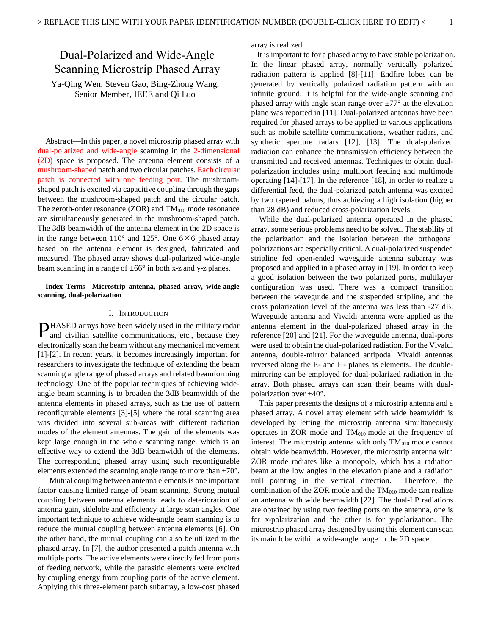### Dual-Polarized and Wide-Angle Scanning Microstrip Phased Array

Ya-Qing Wen, Steven Gao, Bing-Zhong Wang, Senior Member, IEEE and Qi Luo

Abstract—In this paper, a novel microstrip phased array with dual-polarized and wide-angle scanning in the 2-dimensional (2D) space is proposed. The antenna element consists of a mushroom-shaped patch and two circular patches. Each circular patch is connected with one feeding port. The mushroomshaped patch is excited via capacitive coupling through the gaps between the mushroom-shaped patch and the circular patch. The zeroth-order resonance (ZOR) and  $TM<sub>010</sub>$  mode resonance are simultaneously generated in the mushroom-shaped patch. The 3dB beamwidth of the antenna element in the 2D space is in the range between  $110^{\circ}$  and  $125^{\circ}$ . One  $6\times 6$  phased array based on the antenna element is designed, fabricated and measured. The phased array shows dual-polarized wide-angle beam scanning in a range of  $\pm 66^\circ$  in both x-z and y-z planes.

#### **Index Terms—Microstrip antenna, phased array, wide-angle scanning, dual-polarization**

#### I. INTRODUCTION

HASED arrays have been widely used in the military radar **PHASED** arrays have been widely used in the military radar and civilian satellite communications, etc., because they electronically scan the beam without any mechanical movement [1]-[2]. In recent years, it becomes increasingly important for researchers to investigate the technique of extending the beam scanning angle range of phased arrays and related beamforming technology. One of the popular techniques of achieving wideangle beam scanning is to broaden the 3dB beamwidth of the antenna elements in phased arrays, such as the use of pattern reconfigurable elements [3]-[5] where the total scanning area was divided into several sub-areas with different radiation modes of the element antennas. The gain of the elements was kept large enough in the whole scanning range, which is an effective way to extend the 3dB beamwidth of the elements. The corresponding phased array using such reconfigurable elements extended the scanning angle range to more than  $\pm 70^{\circ}$ .

Mutual coupling between antenna elements is one important factor causing limited range of beam scanning. Strong mutual coupling between antenna elements leads to deterioration of antenna gain, sidelobe and efficiency at large scan angles. One important technique to achieve wide-angle beam scanning is to reduce the mutual coupling between antenna elements [6]. On the other hand, the mutual coupling can also be utilized in the phased array. In [7], the author presented a patch antenna with multiple ports. The active elements were directly fed from ports of feeding network, while the parasitic elements were excited by coupling energy from coupling ports of the active element. Applying this three-element patch subarray, a low-cost phased

array is realized.

 It is important to for a phased array to have stable polarization. In the linear phased array, normally vertically polarized radiation pattern is applied [8]-[11]. Endfire lobes can be generated by vertically polarized radiation pattern with an infinite ground. It is helpful for the wide-angle scanning and phased array with angle scan range over  $\pm 77^{\circ}$  at the elevation plane was reported in [11]. Dual-polarized antennas have been required for phased arrays to be applied to various applications such as mobile satellite communications, weather radars, and synthetic aperture radars [12], [13]. The dual-polarized radiation can enhance the transmission efficiency between the transmitted and received antennas. Techniques to obtain dualpolarization includes using multiport feeding and multimode operating [14]-[17]. In the reference [18], in order to realize a differential feed, the dual-polarized patch antenna was excited by two tapered baluns, thus achieving a high isolation (higher than 28 dB) and reduced cross-polarization levels.

While the dual-polarized antenna operated in the phased array, some serious problems need to be solved. The stability of the polarization and the isolation between the orthogonal polarizations are especially critical. A dual-polarized suspended stripline fed open-ended waveguide antenna subarray was proposed and applied in a phased array in [19]. In order to keep a good isolation between the two polarized ports, multilayer configuration was used. There was a compact transition between the waveguide and the suspended stripline, and the cross polarization level of the antenna was less than -27 dB. Waveguide antenna and Vivaldi antenna were applied as the antenna element in the dual-polarized phased array in the reference [20] and [21]. For the waveguide antenna, dual-ports were used to obtain the dual-polarized radiation. For the Vivaldi antenna, double-mirror balanced antipodal Vivaldi antennas reversed along the E- and H- planes as elements. The doublemirroring can be employed for dual-polarized radiation in the array. Both phased arrays can scan their beams with dualpolarization over  $\pm 40^{\circ}$ .

This paper presents the designs of a microstrip antenna and a phased array. A novel array element with wide beamwidth is developed by letting the microstrip antenna simultaneously operates in ZOR mode and  $TM<sub>010</sub>$  mode at the frequency of interest. The microstrip antenna with only  $TM<sub>010</sub>$  mode cannot obtain wide beamwidth. However, the microstrip antenna with ZOR mode radiates like a monopole, which has a radiation beam at the low angles in the elevation plane and a radiation null pointing in the vertical direction. Therefore, the combination of the ZOR mode and the  $TM<sub>010</sub>$  mode can realize an antenna with wide beamwidth [22]. The dual-LP radiations are obtained by using two feeding ports on the antenna, one is for x-polarization and the other is for y-polarization. The microstrip phased array designed by using this element can scan its main lobe within a wide-angle range in the 2D space.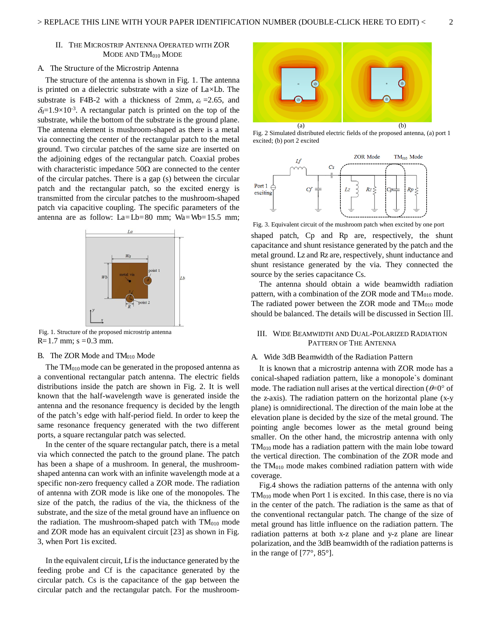#### II. THE MICROSTRIP ANTENNA OPERATED WITH ZOR MODE AND  $TM<sub>010</sub>$  MODE

#### A. The Structure of the Microstrip Antenna

 The structure of the antenna is shown in Fig. 1. The antenna is printed on a dielectric substrate with a size of La×Lb. The substrate is F4B-2 with a thickness of 2mm,  $\varepsilon$ <sub>r</sub> =2.65, and  $\delta_d = 1.9 \times 10^{-3}$ . A rectangular patch is printed on the top of the substrate, while the bottom of the substrate is the ground plane. The antenna element is mushroom-shaped as there is a metal via connecting the center of the rectangular patch to the metal ground. Two circular patches of the same size are inserted on the adjoining edges of the rectangular patch. Coaxial probes with characteristic impedance  $50\Omega$  are connected to the center of the circular patches. There is a gap (s) between the circular patch and the rectangular patch, so the excited energy is transmitted from the circular patches to the mushroom-shaped patch via capacitive coupling. The specific parameters of the antenna are as follow:  $La = Lb = 80$  mm;  $Wa = Wb = 15.5$  mm;



 $R=1.7$  mm; s = 0.3 mm. Fig. 1. Structure of the proposed microstrip antenna

#### B. The ZOR Mode and  $TM<sub>010</sub>$  Mode

The  $TM<sub>010</sub>$  mode can be generated in the proposed antenna as a conventional rectangular patch antenna. The electric fields distributions inside the patch are shown in Fig. 2. It is well known that the half-wavelength wave is generated inside the antenna and the resonance frequency is decided by the length of the patch's edge with half-period field. In order to keep the same resonance frequency generated with the two different ports, a square rectangular patch was selected.

In the center of the square rectangular patch, there is a metal via which connected the patch to the ground plane. The patch has been a shape of a mushroom. In general, the mushroomshaped antenna can work with an infinite wavelength mode at a specific non-zero frequency called a ZOR mode. The radiation of antenna with ZOR mode is like one of the monopoles. The size of the patch, the radius of the via, the thickness of the substrate, and the size of the metal ground have an influence on the radiation. The mushroom-shaped patch with  $TM<sub>010</sub>$  mode and ZOR mode has an equivalent circuit [23] as shown in Fig. 3, when Port 1is excited.

In the equivalent circuit, Lf is the inductance generated by the feeding probe and Cf is the capacitance generated by the circular patch. Cs is the capacitance of the gap between the circular patch and the rectangular patch. For the mushroom-



Fig. 2 Simulated distributed electric fields of the proposed antenna, (a) port 1 excited; (b) port 2 excited



Fig. 3. Equivalent circuit of the mushroom patch when excited by one port

shaped patch, Cp and Rp are, respectively, the shunt capacitance and shunt resistance generated by the patch and the metal ground. Lz and Rz are, respectively, shunt inductance and shunt resistance generated by the via. They connected the source by the series capacitance Cs.

The antenna should obtain a wide beamwidth radiation pattern, with a combination of the ZOR mode and  $TM<sub>010</sub>$  mode. The radiated power between the ZOR mode and  $TM<sub>010</sub>$  mode should be balanced. The details will be discussed in Section III.

#### III. WIDE BEAMWIDTH AND DUAL-POLARIZED RADIATION PATTERN OF THE ANTENNA

#### A. Wide 3dB Beamwidth of the Radiation Pattern

It is known that a microstrip antenna with ZOR mode has a conical-shaped radiation pattern, like a monopole`s dominant mode. The radiation null arises at the vertical direction ( $\theta = 0^{\circ}$  of the z-axis). The radiation pattern on the horizontal plane (x-y plane) is omnidirectional. The direction of the main lobe at the elevation plane is decided by the size of the metal ground. The pointing angle becomes lower as the metal ground being smaller. On the other hand, the microstrip antenna with only  $TM<sub>010</sub>$  mode has a radiation pattern with the main lobe toward the vertical direction. The combination of the ZOR mode and the TM010 mode makes combined radiation pattern with wide coverage.

Fig.4 shows the radiation patterns of the antenna with only  $TM<sub>010</sub>$  mode when Port 1 is excited. In this case, there is no via in the center of the patch. The radiation is the same as that of the conventional rectangular patch. The change of the size of metal ground has little influence on the radiation pattern. The radiation patterns at both x-z plane and y-z plane are linear polarization, and the 3dB beamwidth of the radiation patterns is in the range of [77°, 85°].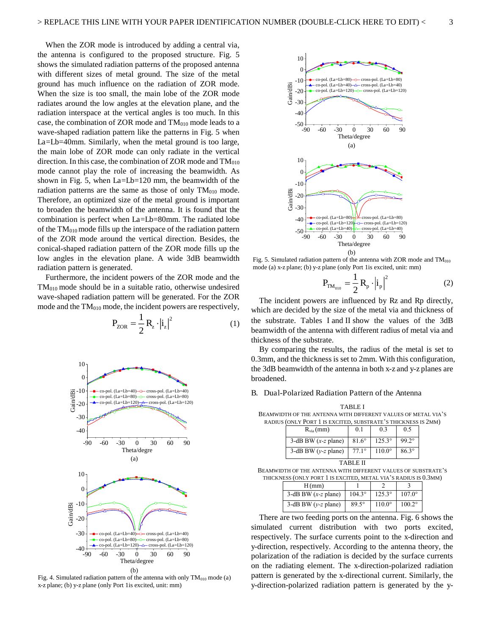When the ZOR mode is introduced by adding a central via, the antenna is configured to the proposed structure. Fig. 5 shows the simulated radiation patterns of the proposed antenna with different sizes of metal ground. The size of the metal ground has much influence on the radiation of ZOR mode. When the size is too small, the main lobe of the ZOR mode radiates around the low angles at the elevation plane, and the radiation interspace at the vertical angles is too much. In this case, the combination of ZOR mode and  $TM<sub>010</sub>$  mode leads to a wave-shaped radiation pattern like the patterns in Fig. 5 when La=Lb=40mm. Similarly, when the metal ground is too large, the main lobe of ZOR mode can only radiate in the vertical direction. In this case, the combination of ZOR mode and  $TM<sub>010</sub>$ mode cannot play the role of increasing the beamwidth. As shown in Fig. 5, when La=Lb=120 mm, the beamwidth of the radiation patterns are the same as those of only  $TM<sub>010</sub>$  mode. Therefore, an optimized size of the metal ground is important to broaden the beamwidth of the antenna. It is found that the combination is perfect when La=Lb=80mm. The radiated lobe of the  $TM<sub>010</sub>$  mode fills up the interspace of the radiation pattern of the ZOR mode around the vertical direction. Besides, the conical-shaped radiation pattern of the ZOR mode fills up the low angles in the elevation plane. A wide 3dB beamwidth radiation pattern is generated.

Furthermore, the incident powers of the ZOR mode and the TM010 mode should be in a suitable ratio, otherwise undesired wave-shaped radiation pattern will be generated. For the ZOR mode and the  $TM<sub>010</sub>$  mode, the incident powers are respectively,

$$
P_{ZOR} = \frac{1}{2} R_z \cdot |\dot{i}_z|^2 \tag{1}
$$



Fig. 4. Simulated radiation pattern of the antenna with only  $TM<sub>010</sub>$  mode (a) x-z plane; (b) y-z plane (only Port 1is excited, unit: mm)



Fig. 5. Simulated radiation pattern of the antenna with ZOR mode and  $TM<sub>010</sub>$ mode (a) x-z plane; (b) y-z plane (only Port 1is excited, unit: mm)

$$
P_{TM_{010}} = \frac{1}{2} R_p \cdot \left| i_p \right|^2 \tag{2}
$$

The incident powers are influenced by Rz and Rp directly, which are decided by the size of the metal via and thickness of the substrate. Tables I and II show the values of the 3dB beamwidth of the antenna with different radius of metal via and thickness of the substrate.

By comparing the results, the radius of the metal is set to 0.3mm, and the thickness is set to 2mm. With this configuration, the 3dB beamwidth of the antenna in both x-z and y-z planes are broadened.

#### B. Dual-Polarized Radiation Pattern of the Antenna

TABLE BEAMWIDTH OF THE ANTENNA WITH DIFFERENT VALUES OF METAL VIA'S RADIUS (ONLY PORT 1 IS EXCITED, SUBSTRATE'S THICKNESS IS 2MM)  $R_{via}(mm)$  0.1 0.3 0.5

| $\mathbf{K}_{\text{via}}(IIIIII)$ | V.I            | U.J           | U.J          |
|-----------------------------------|----------------|---------------|--------------|
| 3-dB BW $(x-z$ plane)             | $81.6^\circ$   | $125.3^\circ$ | $99.2^\circ$ |
| 3-dB BW $(y-z$ plane)             | $77.1^{\circ}$ | $110.0^\circ$ | $86.3^\circ$ |

TABLE

| BEAMWIDTH OF THE ANTENNA WITH DIFFERENT VALUES OF SUBSTRATE'S   |  |
|-----------------------------------------------------------------|--|
| THICKNESS (ONLY PORT 1 IS EXCITED, METAL VIA'S RADIUS IS 0.3MM) |  |

| H(mm)                 |                 |                 |                 |
|-----------------------|-----------------|-----------------|-----------------|
| 3-dB BW $(x-z$ plane) | $104.3^{\circ}$ | $125.3^{\circ}$ | $107.0^{\circ}$ |
| 3-dB BW $(y-z$ plane) | $89.5^\circ$    | $110.0^{\circ}$ | $100.2^\circ$   |

There are two feeding ports on the antenna. Fig. 6 shows the simulated current distribution with two ports excited, respectively. The surface currents point to the x-direction and y-direction, respectively. According to the antenna theory, the polarization of the radiation is decided by the surface currents on the radiating element. The x-direction-polarized radiation pattern is generated by the x-directional current. Similarly, the y-direction-polarized radiation pattern is generated by the y-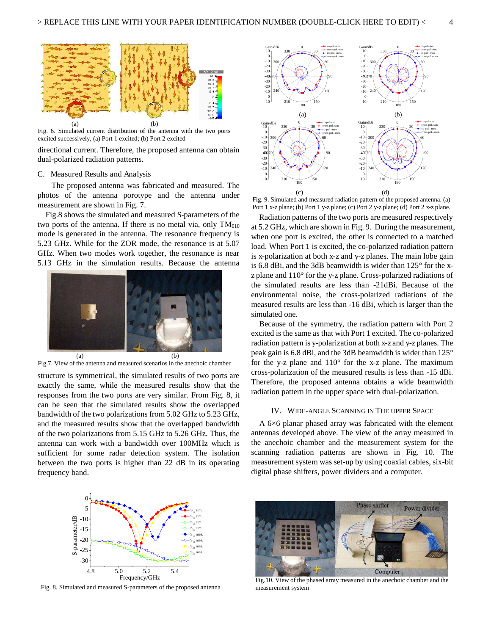

Fig. 6. Simulated current distribution of the antenna with the two ports excited successively, (a) Port 1 excited; (b) Port 2 excited

directional current. Therefore, the proposed antenna can obtain dual-polarized radiation patterns.

#### C. Measured Results and Analysis

 The proposed antenna was fabricated and measured. The photos of the antenna porotype and the antenna under measurement are shown in Fig. 7.

Fig.8 shows the simulated and measured S-parameters of the two ports of the antenna. If there is no metal via, only  $TM<sub>010</sub>$ mode is generated in the antenna. The resonance frequency is 5.23 GHz. While for the ZOR mode, the resonance is at 5.07 GHz. When two modes work together, the resonance is near 5.13 GHz in the simulation results. Because the antenna



Fig.7. View of the antenna and measured scenarios in the anechoic chamber

structure is symmetrical, the simulated results of two ports are exactly the same, while the measured results show that the responses from the two ports are very similar. From Fig. 8, it can be seen that the simulated results show the overlapped bandwidth of the two polarizations from 5.02 GHz to 5.23 GHz, and the measured results show that the overlapped bandwidth of the two polarizations from 5.15 GHz to 5.26 GHz. Thus, the antenna can work with a bandwidth over 100MHz which is sufficient for some radar detection system. The isolation between the two ports is higher than 22 dB in its operating frequency band.



Fig. 9. Simulated and measured radiation pattern of the proposed antenna. (a) Port 1 x-z plane; (b) Port 1 y-z plane; (c) Port 2 y-z plane; (d) Port 2 x-z plane.

Radiation patterns of the two ports are measured respectively at 5.2 GHz, which are shown in Fig. 9. During the measurement, when one port is excited, the other is connected to a matched load. When Port 1 is excited, the co-polarized radiation pattern is x-polarization at both x-z and y-z planes. The main lobe gain is 6.8 dBi, and the 3dB beamwidth is wider than 125° for the xz plane and 110° for the y-z plane. Cross-polarized radiations of the simulated results are less than -21dBi. Because of the environmental noise, the cross-polarized radiations of the measured results are less than -16 dBi, which is larger than the simulated one.

Because of the symmetry, the radiation pattern with Port 2 excited is the same as that with Port 1 excited. The co-polarized radiation pattern is y-polarization at both x-z and y-z planes. The peak gain is 6.8 dBi, and the 3dB beamwidth is wider than 125° for the y-z plane and  $110^{\circ}$  for the x-z plane. The maximum cross-polarization of the measured results is less than -15 dBi. Therefore, the proposed antenna obtains a wide beamwidth radiation pattern in the upper space with dual-polarization.

#### IV. WIDE-ANGLE SCANNING IN THE UPPER SPACE

A 6×6 planar phased array was fabricated with the element antennas developed above. The view of the array measured in the anechoic chamber and the measurement system for the scanning radiation patterns are shown in Fig. 10. The measurement system was set-up by using coaxial cables, six-bit digital phase shifters, power dividers and a computer.



Fig. 8. Simulated and measured S-parameters of the proposed antenna



Fig.10. View of the phased array measured in the anechoic chamber and the measurement system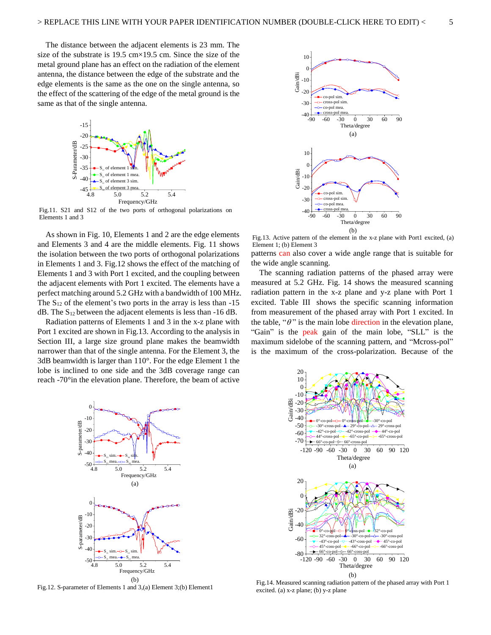The distance between the adjacent elements is 23 mm. The size of the substrate is  $19.5 \text{ cm} \times 19.5 \text{ cm}$ . Since the size of the metal ground plane has an effect on the radiation of the element antenna, the distance between the edge of the substrate and the edge elements is the same as the one on the single antenna, so the effect of the scattering of the edge of the metal ground is the same as that of the single antenna.



Fig.11. S21 and S12 of the two ports of orthogonal polarizations on Elements 1 and 3

As shown in Fig. 10, Elements 1 and 2 are the edge elements and Elements 3 and 4 are the middle elements. Fig. 11 shows the isolation between the two ports of orthogonal polarizations in Elements 1 and 3. Fig.12 shows the effect of the matching of Elements 1 and 3 with Port 1 excited, and the coupling between the adjacent elements with Port 1 excited. The elements have a perfect matching around 5.2 GHz with a bandwidth of 100 MHz. The  $S_{12}$  of the element's two ports in the array is less than -15  $dB$ . The S<sub>12</sub> between the adjacent elements is less than -16 dB.

Radiation patterns of Elements 1 and 3 in the x-z plane with Port 1 excited are shown in Fig.13. According to the analysis in Section III, a large size ground plane makes the beamwidth narrower than that of the single antenna. For the Element 3, the 3dB beamwidth is larger than 110°. For the edge Element 1 the lobe is inclined to one side and the 3dB coverage range can reach -70°in the elevation plane. Therefore, the beam of active



Fig.13. Active pattern of the element in the x-z plane with Port1 excited, (a) Element 1; (b) Element 3

patterns can also cover a wide angle range that is suitable for the wide angle scanning.

The scanning radiation patterns of the phased array were measured at 5.2 GHz. Fig. 14 shows the measured scanning radiation pattern in the x-z plane and y-z plane with Port 1 excited. Table III shows the specific scanning information from measurement of the phased array with Port 1 excited. In the table, " $\theta$ " is the main lobe direction in the elevation plane, "Gain" is the peak gain of the main lobe, "SLL" is the maximum sidelobe of the scanning pattern, and "Mcross-pol" is the maximum of the cross-polarization. Because of the



Fig.12. S-parameter of Elements 1 and 3,(a) Element 3;(b) Element1



Fig.14. Measured scanning radiation pattern of the phased array with Port 1 excited. (a) x-z plane; (b) y-z plane